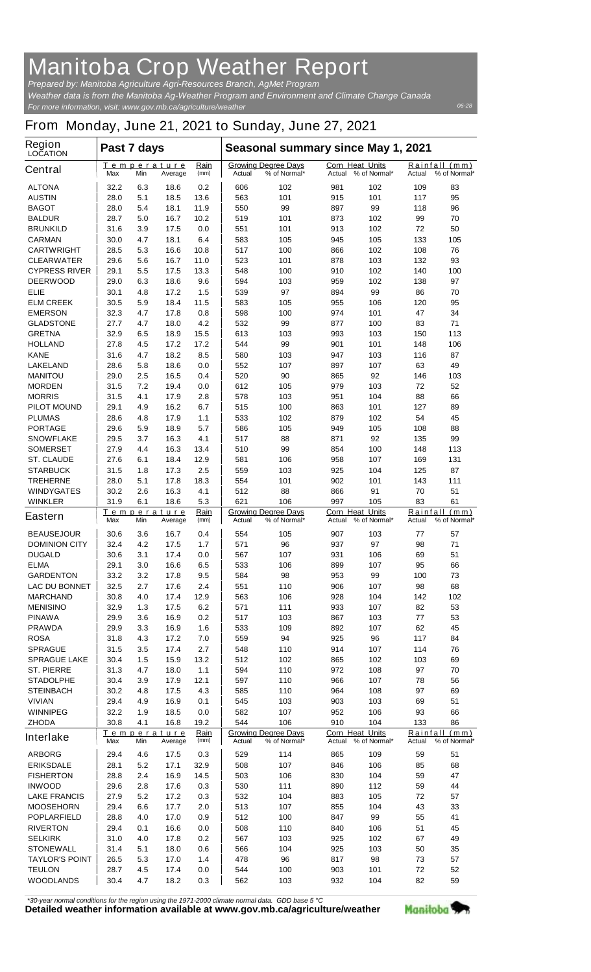## **Manitoba Crop Weather Report**

*For more information, visit: www.gov.mb.ca/agriculture/weather Prepared by: Manitoba Agriculture Agri-Resources Branch, AgMet Program Weather data is from the Manitoba Ag-Weather Program and Environment and Climate Change Canada*

## *06-28*

## **From Monday, June 21, 2021 to Sunday, June 27, 2021**

| Region<br><b>LOCATION</b>                | Past 7 days                                 |            |                        |                                                      | Seasonal summary since May 1, 2021                   |                                            |                                  |                                         |                        |                               |
|------------------------------------------|---------------------------------------------|------------|------------------------|------------------------------------------------------|------------------------------------------------------|--------------------------------------------|----------------------------------|-----------------------------------------|------------------------|-------------------------------|
| <b>Central</b>                           | Max                                         | Min        | Temperature<br>Average | Rain<br>(mm)                                         | Actual                                               | <b>Growing Degree Days</b><br>% of Normal* | <b>Corn Heat Units</b><br>Actual | % of Normal*                            | <b>Actual</b>          | Rainfall (mm)<br>% of Normal* |
| <b>ALTONA</b>                            | 32.2                                        | 6.3        | 18.6                   | 0.2                                                  | 606                                                  | 102                                        | 981                              | 102                                     | 109                    | 83                            |
| <b>AUSTIN</b>                            | 28.0                                        | 5.1        | 18.5                   | 13.6                                                 | 563                                                  | 101                                        | 915                              | 101                                     | 117                    | 95                            |
| <b>BAGOT</b>                             | 28.0                                        | 5.4        | 18.1                   | 11.9                                                 | 550                                                  | 99                                         | 897                              | 99                                      | 118                    | 96                            |
| <b>BALDUR</b><br><b>BRUNKILD</b>         | 28.7<br>31.6                                | 5.0<br>3.9 | 16.7<br>17.5           | 10.2<br>0.0                                          | 519<br>551                                           | 101<br>101                                 | 873<br>913                       | 102<br>102                              | 99<br>72               | 70<br>50                      |
| <b>CARMAN</b>                            | 30.0                                        | 4.7        | 18.1                   | 6.4                                                  | 583                                                  | 105                                        | 945                              | 105                                     | 133                    | 105                           |
| <b>CARTWRIGHT</b>                        | 28.5                                        | 5.3        | 16.6                   | 10.8                                                 | 517                                                  | 100                                        | 866                              | 102                                     | 108                    | 76                            |
| <b>CLEARWATER</b>                        | 29.6                                        | 5.6        | 16.7                   | 11.0                                                 | 523                                                  | 101                                        | 878                              | 103                                     | 132                    | 93                            |
| <b>CYPRESS RIVER</b>                     | 29.1                                        | 5.5        | 17.5                   | 13.3                                                 | 548                                                  | 100                                        | 910                              | 102                                     | 140                    | 100                           |
| <b>DEERWOOD</b>                          | 29.0                                        | 6.3        | 18.6                   | 9.6                                                  | 594                                                  | 103                                        | 959                              | 102                                     | 138                    | 97                            |
| <b>ELIE</b>                              | 30.1                                        | 4.8        | 17.2                   | 1.5                                                  | 539                                                  | 97                                         | 894                              | 99                                      | 86                     | 70                            |
| <b>ELM CREEK</b>                         | 30.5                                        | 5.9        | 18.4                   | 11.5                                                 | 583                                                  | 105                                        | 955                              | 106                                     | 120                    | 95                            |
| <b>EMERSON</b><br><b>GLADSTONE</b>       | 32.3<br>27.7                                | 4.7<br>4.7 | 17.8<br>18.0           | 0.8<br>4.2                                           | 598<br>532                                           | 100<br>99                                  | 974<br>877                       | 101<br>100                              | 47<br>83               | 34<br>71                      |
| <b>GRETNA</b>                            | 32.9                                        | 6.5        | 18.9                   | 15.5                                                 | 613                                                  | 103                                        | 993                              | 103                                     | 150                    | 113                           |
| <b>HOLLAND</b>                           | 27.8                                        | 4.5        | 17.2                   | 17.2                                                 | 544                                                  | 99                                         | 901                              | 101                                     | 148                    | 106                           |
| <b>KANE</b>                              | 31.6                                        | 4.7        | 18.2                   | 8.5                                                  | 580                                                  | 103                                        | 947                              | 103                                     | 116                    | 87                            |
| <b>LAKELAND</b>                          | 28.6                                        | 5.8        | 18.6                   | 0.0                                                  | 552                                                  | 107                                        | 897                              | 107                                     | 63                     | 49                            |
| <b>MANITOU</b>                           | 29.0                                        | 2.5        | 16.5                   | 0.4                                                  | 520                                                  | 90                                         | 865                              | 92                                      | 146                    | 103                           |
| <b>MORDEN</b>                            | 31.5                                        | 7.2        | 19.4                   | 0.0                                                  | 612                                                  | 105                                        | 979                              | 103                                     | 72                     | 52                            |
| <b>MORRIS</b>                            | 31.5                                        | 4.1        | 17.9                   | 2.8                                                  | 578                                                  | 103                                        | 951                              | 104                                     | 88                     | 66                            |
| <b>PILOT MOUND</b><br><b>PLUMAS</b>      | 29.1                                        | 4.9        | 16.2<br>17.9           | 6.7                                                  | 515                                                  | 100                                        | 863                              | 101                                     | 127<br>54              | 89<br>45                      |
| <b>PORTAGE</b>                           | 28.6<br>29.6                                | 4.8<br>5.9 | 18.9                   | 1.1<br>5.7                                           | 533<br>586                                           | 102<br>105                                 | 879<br>949                       | 102<br>105                              | 108                    | 88                            |
| <b>SNOWFLAKE</b>                         | 29.5                                        | 3.7        | 16.3                   | 4.1                                                  | 517                                                  | 88                                         | 871                              | 92                                      | 135                    | 99                            |
| <b>SOMERSET</b>                          | 27.9                                        | 4.4        | 16.3                   | 13.4                                                 | 510                                                  | 99                                         | 854                              | 100                                     | 148                    | 113                           |
| <b>ST. CLAUDE</b>                        | 27.6                                        | 6.1        | 18.4                   | 12.9                                                 | 581                                                  | 106                                        | 958                              | 107                                     | 169                    | 131                           |
| <b>STARBUCK</b>                          | 31.5                                        | 1.8        | 17.3                   | 2.5                                                  | 559                                                  | 103                                        | 925                              | 104                                     | 125                    | 87                            |
| <b>TREHERNE</b>                          | 28.0                                        | 5.1        | 17.8                   | 18.3                                                 | 554                                                  | 101                                        | 902                              | 101                                     | 143                    | 111                           |
| <b>WINDYGATES</b>                        | 30.2                                        | 2.6        | 16.3                   | 4.1                                                  | 512                                                  | 88                                         | 866                              | 91                                      | 70                     | 51                            |
| <b>WINKLER</b>                           | 31.9                                        | 6.1        | 18.6<br>Temperature    | 5.3<br>Rain                                          | 621                                                  | 106                                        | 997<br><b>Corn Heat Units</b>    | 105                                     | 83                     | 61<br>Rainfall (mm)           |
| <b>Eastern</b>                           | Max                                         | Min        | Average                | (mm)                                                 | <b>Growing Degree Days</b><br>% of Normal*<br>Actual |                                            | Actual                           | % of Normal*                            | % of Normal*<br>Actual |                               |
| <b>BEAUSEJOUR</b>                        | 30.6                                        | 3.6        | 16.7                   | 0.4                                                  | 554                                                  | 105                                        | 907                              | 103                                     | 77                     | 57                            |
| <b>DOMINION CITY</b>                     | 32.4                                        | 4.2        | 17.5                   | 1.7                                                  | 571                                                  | 96                                         | 937                              | 97                                      | 98                     | 71                            |
| <b>DUGALD</b><br><b>ELMA</b>             | 30.6<br>29.1                                | 3.1<br>3.0 | 17.4                   | 0.0<br>6.5                                           | 567                                                  | 107                                        | 931<br>899                       | 106                                     | 69<br>95               | 51<br>66                      |
| <b>GARDENTON</b>                         | 33.2                                        | 3.2        | 16.6<br>17.8           | 9.5                                                  | 533<br>584                                           | 106<br>98                                  | 953                              | 107<br>99                               | 100                    | 73                            |
| <b>LAC DU BONNET</b>                     | 32.5                                        | 2.7        | 17.6                   | 2.4                                                  | 551                                                  | 110                                        | 906                              | 107                                     | 98                     | 68                            |
| <b>MARCHAND</b>                          | 30.8                                        | 4.0        | 17.4                   | 12.9                                                 | 563                                                  | 106                                        | 928                              | 104                                     | 142                    | 102                           |
| <b>MENISINO</b>                          | 32.9                                        | 1.3        | 17.5                   | 6.2                                                  | 571                                                  | 111                                        | 933                              | 107                                     | 82                     | 53                            |
| <b>PINAWA</b>                            | 29.9                                        | 3.6        | 16.9                   | 0.2                                                  | 517                                                  | 103                                        | 867                              | 103                                     | 77                     | 53                            |
| <b>PRAWDA</b>                            | 29.9                                        | 3.3        | 16.9                   | 1.6                                                  | 533                                                  | 109                                        | 892                              | 107                                     | 62                     | 45                            |
| <b>ROSA</b>                              | 31.8                                        | 4.3        | 17.2                   | 7.0                                                  | 559                                                  | 94                                         | 925                              | 96                                      | 117                    | 84                            |
| <b>SPRAGUE</b>                           | 31.5                                        | 3.5        | 17.4                   | 2.7                                                  | 548                                                  | 110                                        | 914                              | 107                                     | 114                    | 76                            |
| <b>SPRAGUE LAKE</b><br><b>ST. PIERRE</b> | 30.4<br>31.3                                | 1.5<br>4.7 | 15.9<br>18.0           | 13.2<br>1.1                                          | 512<br>594                                           | 102<br>110                                 | 865<br>972                       | 102<br>108                              | 103<br>97              | 69<br>70                      |
| <b>STADOLPHE</b>                         | 30.4                                        | 3.9        | 17.9                   | 12.1                                                 | 597                                                  | 110                                        | 966                              | 107                                     | 78                     | 56                            |
| <b>STEINBACH</b>                         | 30.2                                        | 4.8        | 17.5                   | 4.3                                                  | 585                                                  | 110                                        | 964                              | 108                                     | 97                     | 69                            |
| <b>VIVIAN</b>                            | 29.4                                        | 4.9        | 16.9                   | 0.1                                                  | 545                                                  | 103                                        | 903                              | 103                                     | 69                     | 51                            |
| <b>WINNIPEG</b>                          | 32.2                                        | 1.9        | 18.5                   | 0.0                                                  | 582                                                  | 107                                        | 952                              | 106                                     | 93                     | 66                            |
| <b>ZHODA</b>                             | 30.8                                        | 4.1        | 16.8                   | 19.2                                                 | 544                                                  | 106                                        | 910                              | 104                                     | 133                    | 86                            |
| <b>Interlake</b>                         | <u>Temperature</u><br>Min<br>Max<br>Average |            | <u>Rain</u><br>(mm)    | <b>Growing Degree Days</b><br>% of Normal*<br>Actual |                                                      | Corn Heat Units<br>Actual % of Normal*     |                                  | Rainfall (mm)<br>Actual<br>% of Normal* |                        |                               |
| <b>ARBORG</b>                            | 29.4                                        | 4.6        | 17.5                   | 0.3                                                  | 529                                                  | 114                                        | 865                              | 109                                     | 59                     | 51                            |
| <b>ERIKSDALE</b>                         | 28.1                                        | 5.2        | 17.1                   | 32.9                                                 | 508                                                  | 107                                        | 846                              | 106                                     | 85                     | 68                            |
| <b>FISHERTON</b>                         | 28.8                                        | 2.4        | 16.9                   | 14.5                                                 | 503                                                  | 106                                        | 830                              | 104                                     | 59                     | 47                            |
| <b>INWOOD</b>                            | 29.6                                        | 2.8        | 17.6                   | 0.3                                                  | 530                                                  | 111                                        | 890                              | 112                                     | 59                     | 44                            |
| <b>LAKE FRANCIS</b>                      | 27.9                                        | 5.2        | 17.2                   | 0.3                                                  | 532                                                  | 104                                        | 883                              | 105                                     | 72                     | 57                            |
| <b>MOOSEHORN</b>                         | 29.4                                        | 6.6        | 17.7                   | 2.0                                                  | 513                                                  | 107                                        | 855                              | 104                                     | 43                     | 33                            |
| <b>POPLARFIELD</b><br><b>RIVERTON</b>    | 28.8<br>29.4                                | 4.0<br>0.1 | 17.0<br>16.6           | 0.9<br>0.0                                           | 512<br>508                                           | 100<br>110                                 | 847<br>840                       | 99<br>106                               | 55<br>51               | 41<br>45                      |
| <b>SELKIRK</b>                           | 31.0                                        | 4.0        | 17.8                   | 0.2                                                  | 567                                                  | 103                                        | 925                              | 102                                     | 67                     | 49                            |
| <b>STONEWALL</b>                         | 31.4                                        | 5.1        | 18.0                   | 0.6                                                  | 566                                                  | 104                                        | 925                              | 103                                     | 50                     | 35                            |
| <b>TAYLOR'S POINT</b>                    | 26.5                                        | 5.3        | 17.0                   | 1.4                                                  | 478                                                  | 96                                         | 817                              | 98                                      | 73                     | 57                            |
| <b>TEULON</b>                            | 28.7                                        | 4.5        | 17.4                   | 0.0                                                  | 544                                                  | 100                                        | 903                              | 101                                     | 72                     | 52                            |
| <b>WOODLANDS</b>                         | 30.4                                        | 4.7        | 18.2                   | 0.3                                                  | 562                                                  | 103                                        | 932                              | 104                                     | 82                     | 59                            |

*\*30-year normal conditions for the region using the 1971-2000 climate normal data. GDD base 5 °C*<br>Detailed weather information available at www.gov.mb.ca/agriculture/weather

Manitoba<sup>9</sup>